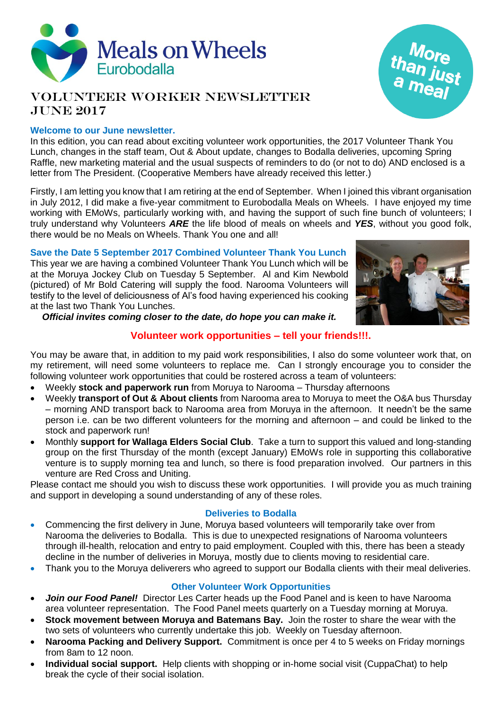

# Volunteer Worker Newsletter JUNE 2017

# **Welcome to our June newsletter.**

In this edition, you can read about exciting volunteer work opportunities, the 2017 Volunteer Thank You Lunch, changes in the staff team, Out & About update, changes to Bodalla deliveries, upcoming Spring Raffle, new marketing material and the usual suspects of reminders to do (or not to do) AND enclosed is a letter from The President. (Cooperative Members have already received this letter.)

Firstly, I am letting you know that I am retiring at the end of September. When I joined this vibrant organisation in July 2012, I did make a five-year commitment to Eurobodalla Meals on Wheels. I have enjoyed my time working with EMoWs, particularly working with, and having the support of such fine bunch of volunteers; I truly understand why Volunteers *ARE* the life blood of meals on wheels and *YES*, without you good folk, there would be no Meals on Wheels. Thank You one and all!

**Save the Date 5 September 2017 Combined Volunteer Thank You Lunch** This year we are having a combined Volunteer Thank You Lunch which will be at the Moruya Jockey Club on Tuesday 5 September. Al and Kim Newbold (pictured) of Mr Bold Catering will supply the food. Narooma Volunteers will testify to the level of deliciousness of Al's food having experienced his cooking at the last two Thank You Lunches.



than just<br>a meal

*Official invites coming closer to the date, do hope you can make it.*

# **Volunteer work opportunities – tell your friends!!!.**

You may be aware that, in addition to my paid work responsibilities, I also do some volunteer work that, on my retirement, will need some volunteers to replace me. Can I strongly encourage you to consider the following volunteer work opportunities that could be rostered across a team of volunteers:

- Weekly **stock and paperwork run** from Moruya to Narooma Thursday afternoons
- Weekly **transport of Out & About clients** from Narooma area to Moruya to meet the O&A bus Thursday – morning AND transport back to Narooma area from Moruya in the afternoon. It needn't be the same person i.e. can be two different volunteers for the morning and afternoon – and could be linked to the stock and paperwork run!
- Monthly **support for Wallaga Elders Social Club**. Take a turn to support this valued and long-standing group on the first Thursday of the month (except January) EMoWs role in supporting this collaborative venture is to supply morning tea and lunch, so there is food preparation involved. Our partners in this venture are Red Cross and Uniting.

Please contact me should you wish to discuss these work opportunities. I will provide you as much training and support in developing a sound understanding of any of these roles.

# **Deliveries to Bodalla**

- Commencing the first delivery in June, Moruya based volunteers will temporarily take over from Narooma the deliveries to Bodalla. This is due to unexpected resignations of Narooma volunteers through ill-health, relocation and entry to paid employment. Coupled with this, there has been a steady decline in the number of deliveries in Moruya, mostly due to clients moving to residential care.
- Thank you to the Moruya deliverers who agreed to support our Bodalla clients with their meal deliveries.

# **Other Volunteer Work Opportunities**

- *Join our Food Panel!* Director Les Carter heads up the Food Panel and is keen to have Narooma area volunteer representation. The Food Panel meets quarterly on a Tuesday morning at Moruya.
- **Stock movement between Moruya and Batemans Bay.** Join the roster to share the wear with the two sets of volunteers who currently undertake this job. Weekly on Tuesday afternoon.
- **Narooma Packing and Delivery Support.** Commitment is once per 4 to 5 weeks on Friday mornings from 8am to 12 noon.
- **Individual social support.** Help clients with shopping or in-home social visit (CuppaChat) to help break the cycle of their social isolation.